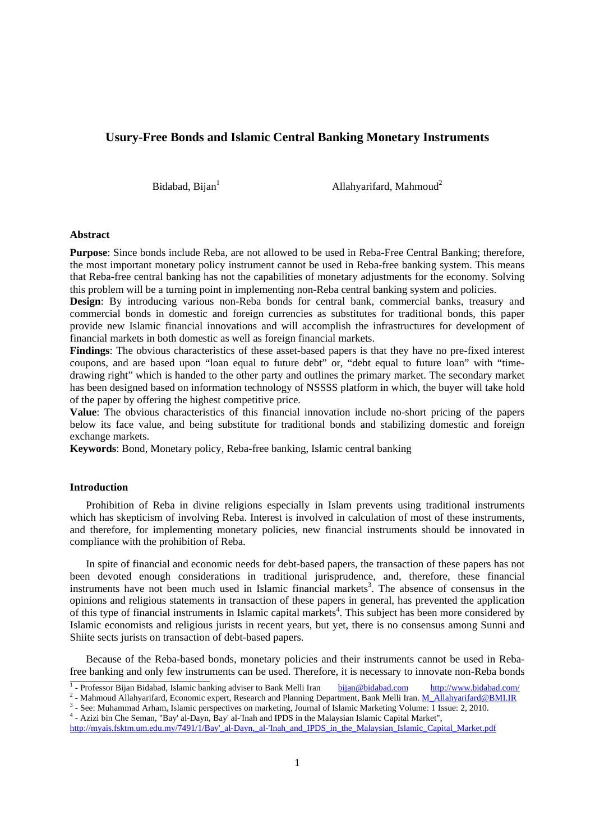# **Usury-Free Bonds and Islamic Central Banking Monetary Instruments**

Bidabad, Bijan $<sup>1</sup>$ </sup>

Allahyarifard, Mahmoud<sup>2</sup>

## **Abstract**

**Purpose**: Since bonds include Reba, are not allowed to be used in Reba-Free Central Banking; therefore, the most important monetary policy instrument cannot be used in Reba-free banking system. This means that Reba-free central banking has not the capabilities of monetary adjustments for the economy. Solving this problem will be a turning point in implementing non-Reba central banking system and policies.

**Design**: By introducing various non-Reba bonds for central bank, commercial banks, treasury and commercial bonds in domestic and foreign currencies as substitutes for traditional bonds, this paper provide new Islamic financial innovations and will accomplish the infrastructures for development of financial markets in both domestic as well as foreign financial markets.

**Findings**: The obvious characteristics of these asset-based papers is that they have no pre-fixed interest coupons, and are based upon "loan equal to future debt" or, "debt equal to future loan" with "timedrawing right" which is handed to the other party and outlines the primary market. The secondary market has been designed based on information technology of NSSSS platform in which, the buyer will take hold of the paper by offering the highest competitive price.

**Value**: The obvious characteristics of this financial innovation include no-short pricing of the papers below its face value, and being substitute for traditional bonds and stabilizing domestic and foreign exchange markets.

**Keywords**: Bond, Monetary policy, Reba-free banking, Islamic central banking

## **Introduction**

 Prohibition of Reba in divine religions especially in Islam prevents using traditional instruments which has skepticism of involving Reba. Interest is involved in calculation of most of these instruments, and therefore, for implementing monetary policies, new financial instruments should be innovated in compliance with the prohibition of Reba.

 In spite of financial and economic needs for debt-based papers, the transaction of these papers has not been devoted enough considerations in traditional jurisprudence, and, therefore, these financial instruments have not been much used in Islamic financial markets<sup>3</sup>. The absence of consensus in the opinions and religious statements in transaction of these papers in general, has prevented the application of this type of financial instruments in Islamic capital markets<sup>4</sup>. This subject has been more considered by Islamic economists and religious jurists in recent years, but yet, there is no consensus among Sunni and Shiite sects jurists on transaction of debt-based papers.

 Because of the Reba-based bonds, monetary policies and their instruments cannot be used in Rebafree banking and only few instruments can be used. Therefore, it is necessary to innovate non-Reba bonds

 $\frac{1}{1}$  Drofossor Dijon Didebad, Islamic han <sup>1</sup> - Professor Bijan Bidabad, Islamic banking adviser to Bank Melli Iran bijan@bidabad.com http://www.bidabad.com/ 2<br>2. Mehmoud Allehyeriferd Economic evnert, Beceersh and Plenning Department, Bank Melli Iran M. Allehyer

<sup>&</sup>lt;sup>2</sup> - Mahmoud Allahyarifard, Economic expert, Research and Planning Department, Bank Melli Iran. **M\_Allahyarifard@BMI.IR**  $\frac{3}{2}$  See: Muhammad Arbam. Islamic perspectives on markating Journal of Islamic Markating Volum

<sup>&</sup>lt;sup>3</sup> - See: Muhammad Arham, Islamic perspectives on marketing, Journal of Islamic Marketing Volume: 1 Issue: 2, 2010. 4 - Azizi bin Che Seman, "Bay' al-Dayn, Bay' al-'Inah and IPDS in the Malaysian Islamic Capital Market",

http://myais.fsktm.um.edu.my/7491/1/Bay'\_al-Dayn,\_al-'Inah\_and\_IPDS\_in\_the\_Malaysian\_Islamic\_Capital\_Market.pdf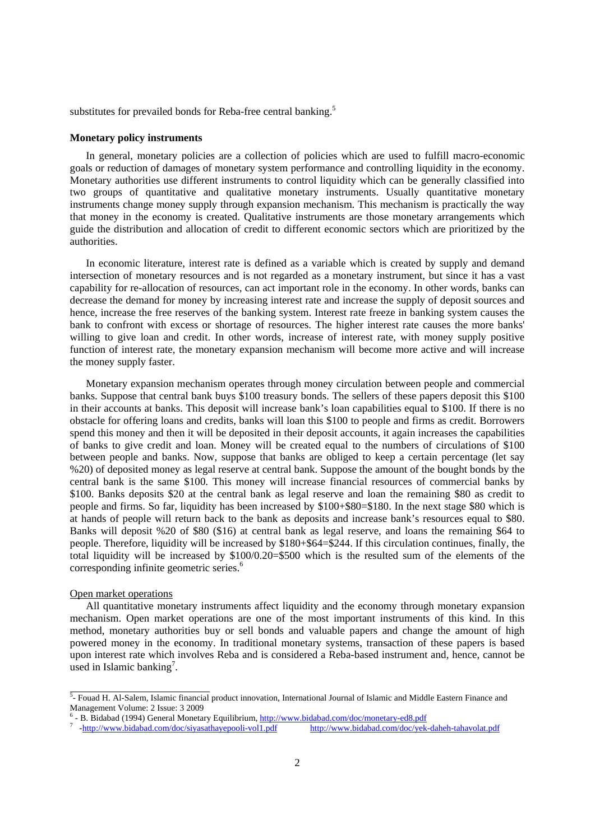substitutes for prevailed bonds for Reba-free central banking.<sup>5</sup>

## **Monetary policy instruments**

 In general, monetary policies are a collection of policies which are used to fulfill macro-economic goals or reduction of damages of monetary system performance and controlling liquidity in the economy. Monetary authorities use different instruments to control liquidity which can be generally classified into two groups of quantitative and qualitative monetary instruments. Usually quantitative monetary instruments change money supply through expansion mechanism. This mechanism is practically the way that money in the economy is created. Qualitative instruments are those monetary arrangements which guide the distribution and allocation of credit to different economic sectors which are prioritized by the authorities.

 In economic literature, interest rate is defined as a variable which is created by supply and demand intersection of monetary resources and is not regarded as a monetary instrument, but since it has a vast capability for re-allocation of resources, can act important role in the economy. In other words, banks can decrease the demand for money by increasing interest rate and increase the supply of deposit sources and hence, increase the free reserves of the banking system. Interest rate freeze in banking system causes the bank to confront with excess or shortage of resources. The higher interest rate causes the more banks' willing to give loan and credit. In other words, increase of interest rate, with money supply positive function of interest rate, the monetary expansion mechanism will become more active and will increase the money supply faster.

 Monetary expansion mechanism operates through money circulation between people and commercial banks. Suppose that central bank buys \$100 treasury bonds. The sellers of these papers deposit this \$100 in their accounts at banks. This deposit will increase bank's loan capabilities equal to \$100. If there is no obstacle for offering loans and credits, banks will loan this \$100 to people and firms as credit. Borrowers spend this money and then it will be deposited in their deposit accounts, it again increases the capabilities of banks to give credit and loan. Money will be created equal to the numbers of circulations of \$100 between people and banks. Now, suppose that banks are obliged to keep a certain percentage (let say %20) of deposited money as legal reserve at central bank. Suppose the amount of the bought bonds by the central bank is the same \$100. This money will increase financial resources of commercial banks by \$100. Banks deposits \$20 at the central bank as legal reserve and loan the remaining \$80 as credit to people and firms. So far, liquidity has been increased by \$100+\$80=\$180. In the next stage \$80 which is at hands of people will return back to the bank as deposits and increase bank's resources equal to \$80. Banks will deposit %20 of \$80 (\$16) at central bank as legal reserve, and loans the remaining \$64 to people. Therefore, liquidity will be increased by \$180+\$64=\$244. If this circulation continues, finally, the total liquidity will be increased by \$100/0.20=\$500 which is the resulted sum of the elements of the corresponding infinite geometric series.<sup>6</sup>

## Open market operations

 All quantitative monetary instruments affect liquidity and the economy through monetary expansion mechanism. Open market operations are one of the most important instruments of this kind. In this method, monetary authorities buy or sell bonds and valuable papers and change the amount of high powered money in the economy. In traditional monetary systems, transaction of these papers is based upon interest rate which involves Reba and is considered a Reba-based instrument and, hence, cannot be used in Islamic banking<sup>7</sup>.

 $\frac{5}{2}$ - Fouad H. Al-Salem, Islamic financial product innovation, International Journal of Islamic and Middle Eastern Finance and Management Volume: 2 Issue: 3 2009

<sup>&</sup>lt;sup>6</sup> - B. Bidabad (1994) General Monetary Equilibrium,  $\frac{http://www.bidabad.com/doc/monetary-ed8.pdf}{http://www.bidabad.com/doc/moletayc/dc/cd/100}/$ 

<sup>&</sup>lt;sup>7</sup> http://www.bidabad.com/doc/siyasathayepooli-<u>vol1.pdf http://www.bidabad.com/doc/yek-daheh-tahavolat.pdf</u>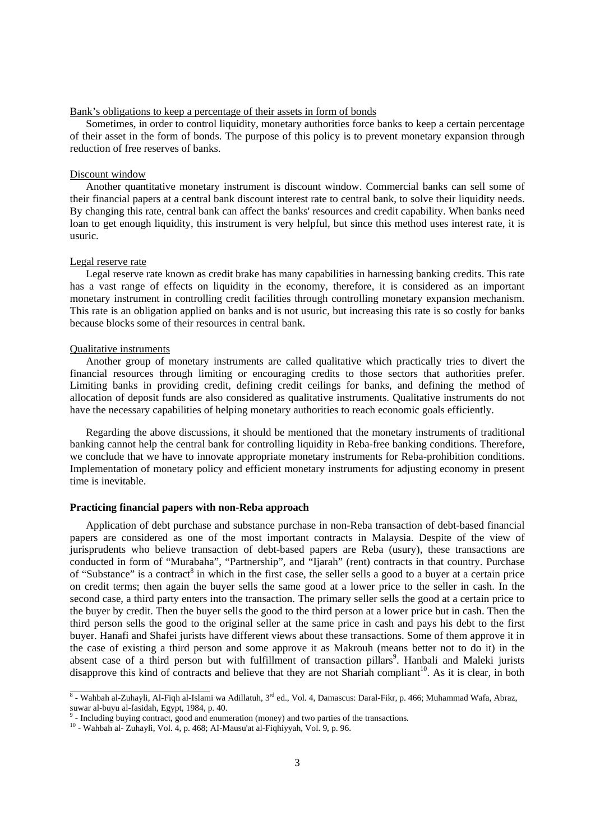## Bank's obligations to keep a percentage of their assets in form of bonds

Sometimes, in order to control liquidity, monetary authorities force banks to keep a certain percentage of their asset in the form of bonds. The purpose of this policy is to prevent monetary expansion through reduction of free reserves of banks.

## Discount window

Another quantitative monetary instrument is discount window. Commercial banks can sell some of their financial papers at a central bank discount interest rate to central bank, to solve their liquidity needs. By changing this rate, central bank can affect the banks' resources and credit capability. When banks need loan to get enough liquidity, this instrument is very helpful, but since this method uses interest rate, it is usuric.

#### Legal reserve rate

 Legal reserve rate known as credit brake has many capabilities in harnessing banking credits. This rate has a vast range of effects on liquidity in the economy, therefore, it is considered as an important monetary instrument in controlling credit facilities through controlling monetary expansion mechanism. This rate is an obligation applied on banks and is not usuric, but increasing this rate is so costly for banks because blocks some of their resources in central bank.

## Qualitative instruments

 Another group of monetary instruments are called qualitative which practically tries to divert the financial resources through limiting or encouraging credits to those sectors that authorities prefer. Limiting banks in providing credit, defining credit ceilings for banks, and defining the method of allocation of deposit funds are also considered as qualitative instruments. Qualitative instruments do not have the necessary capabilities of helping monetary authorities to reach economic goals efficiently.

 Regarding the above discussions, it should be mentioned that the monetary instruments of traditional banking cannot help the central bank for controlling liquidity in Reba-free banking conditions. Therefore, we conclude that we have to innovate appropriate monetary instruments for Reba-prohibition conditions. Implementation of monetary policy and efficient monetary instruments for adjusting economy in present time is inevitable.

## **Practicing financial papers with non-Reba approach**

Application of debt purchase and substance purchase in non-Reba transaction of debt-based financial papers are considered as one of the most important contracts in Malaysia. Despite of the view of jurisprudents who believe transaction of debt-based papers are Reba (usury), these transactions are conducted in form of "Murabaha", "Partnership", and "Ijarah" (rent) contracts in that country. Purchase of "Substance" is a contract<sup>8</sup> in which in the first case, the seller sells a good to a buyer at a certain price on credit terms; then again the buyer sells the same good at a lower price to the seller in cash. In the second case, a third party enters into the transaction. The primary seller sells the good at a certain price to the buyer by credit. Then the buyer sells the good to the third person at a lower price but in cash. Then the third person sells the good to the original seller at the same price in cash and pays his debt to the first buyer. Hanafi and Shafei jurists have different views about these transactions. Some of them approve it in the case of existing a third person and some approve it as Makrouh (means better not to do it) in the absent case of a third person but with fulfillment of transaction pillars<sup>9</sup>. Hanbali and Maleki jurists disapprove this kind of contracts and believe that they are not Shariah compliant<sup>10</sup>. As it is clear, in both

 $\overline{8}$  - Wahbah al-Zuhayli, Al-Fiqh al-Islami wa Adillatuh, 3<sup>rd</sup> ed., Vol. 4, Damascus: Daral-Fikr, p. 466; Muhammad Wafa, Abraz, suwar al-buyu al-fasidah, Egypt, 1984, p. 40. 9

 $9$ - Including buying contract, good and enumeration (money) and two parties of the transactions.  $10$ - Wahbah al- Zuhayli, Vol. 4, p. 468; AI-Mausu'at al-Fiqhiyyah, Vol. 9, p. 96.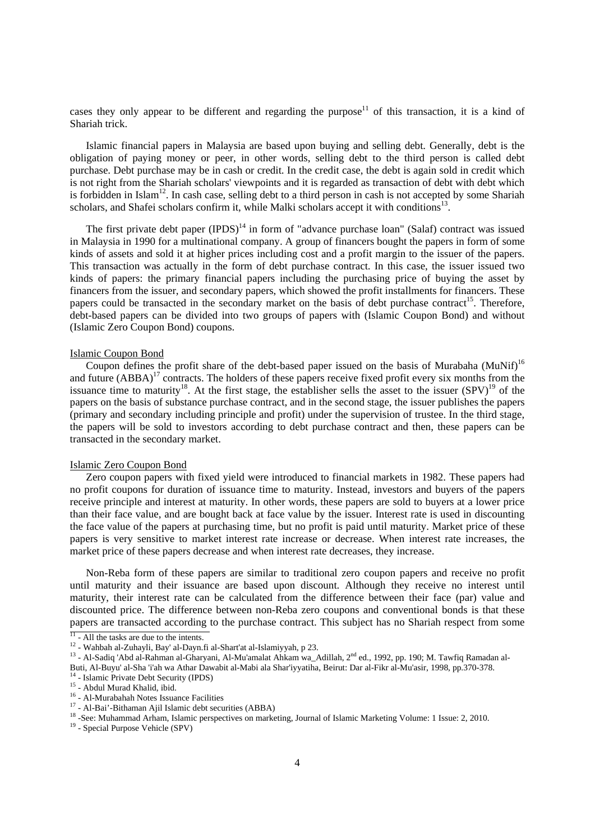cases they only appear to be different and regarding the purpose<sup>11</sup> of this transaction, it is a kind of Shariah trick.

 Islamic financial papers in Malaysia are based upon buying and selling debt. Generally, debt is the obligation of paying money or peer, in other words, selling debt to the third person is called debt purchase. Debt purchase may be in cash or credit. In the credit case, the debt is again sold in credit which is not right from the Shariah scholars' viewpoints and it is regarded as transaction of debt with debt which is forbidden in Islam<sup>12</sup>. In cash case, selling debt to a third person in cash is not accepted by some Shariah scholars, and Shafei scholars confirm it, while Malki scholars accept it with conditions<sup>13</sup>

The first private debt paper  $(IPDS)^{14}$  in form of "advance purchase loan" (Salaf) contract was issued in Malaysia in 1990 for a multinational company. A group of financers bought the papers in form of some kinds of assets and sold it at higher prices including cost and a profit margin to the issuer of the papers. This transaction was actually in the form of debt purchase contract. In this case, the issuer issued two kinds of papers: the primary financial papers including the purchasing price of buying the asset by financers from the issuer, and secondary papers, which showed the profit installments for financers. These papers could be transacted in the secondary market on the basis of debt purchase contract<sup>15</sup>. Therefore, debt-based papers can be divided into two groups of papers with (Islamic Coupon Bond) and without (Islamic Zero Coupon Bond) coupons.

## Islamic Coupon Bond

Coupon defines the profit share of the debt-based paper issued on the basis of Murabaha (MuNif)<sup>16</sup> and future  $(ABBA)^{17}$  contracts. The holders of these papers receive fixed profit every six months from the issuance time to maturity<sup>18</sup>. At the first stage, the establisher sells the asset to the issuer  $(SPV)^{19}$  of the papers on the basis of substance purchase contract, and in the second stage, the issuer publishes the papers (primary and secondary including principle and profit) under the supervision of trustee. In the third stage, the papers will be sold to investors according to debt purchase contract and then, these papers can be transacted in the secondary market.

## Islamic Zero Coupon Bond

 Zero coupon papers with fixed yield were introduced to financial markets in 1982. These papers had no profit coupons for duration of issuance time to maturity. Instead, investors and buyers of the papers receive principle and interest at maturity. In other words, these papers are sold to buyers at a lower price than their face value, and are bought back at face value by the issuer. Interest rate is used in discounting the face value of the papers at purchasing time, but no profit is paid until maturity. Market price of these papers is very sensitive to market interest rate increase or decrease. When interest rate increases, the market price of these papers decrease and when interest rate decreases, they increase.

 Non-Reba form of these papers are similar to traditional zero coupon papers and receive no profit until maturity and their issuance are based upon discount. Although they receive no interest until maturity, their interest rate can be calculated from the difference between their face (par) value and discounted price. The difference between non-Reba zero coupons and conventional bonds is that these papers are transacted according to the purchase contract. This subject has no Shariah respect from some

 $\frac{11}{11}$  - All the tasks are due to the intents.

<sup>&</sup>lt;sup>12</sup> - Wahbah al-Zuhayli, Bay' al-Dayn.fi al-Shart'at al-Islamiyyah, p 23.<br><sup>13</sup> - Al-Sadiq 'Abd al-Rahman al-Gharyani, Al-Mu'amalat Ahkam wa\_Adillah, 2<sup>nd</sup> ed., 1992, pp. 190; M. Tawfiq Ramadan al-Buti, Al-Buyu' al-Sha 'i'ah wa Athar Dawabit al-Mabi ala Shar'iyyatiha, Beirut: Dar al-Fikr al-Mu'asir, 1998, pp.370-378.<br><sup>14</sup> - Islamic Private Debt Security (IPDS) <sup>15</sup> - Abdul Murad Khalid, ibid.

<sup>&</sup>lt;sup>16</sup> - Al-Murabahah Notes Issuance Facilities

<sup>17 -</sup> Al-Bai'-Bithaman Ajil Islamic debt securities (ABBA)

<sup>&</sup>lt;sup>18</sup> -See: Muhammad Arham, Islamic perspectives on marketing, Journal of Islamic Marketing Volume: 1 Issue: 2, 2010.<br><sup>19</sup> - Special Purpose Vehicle (SPV)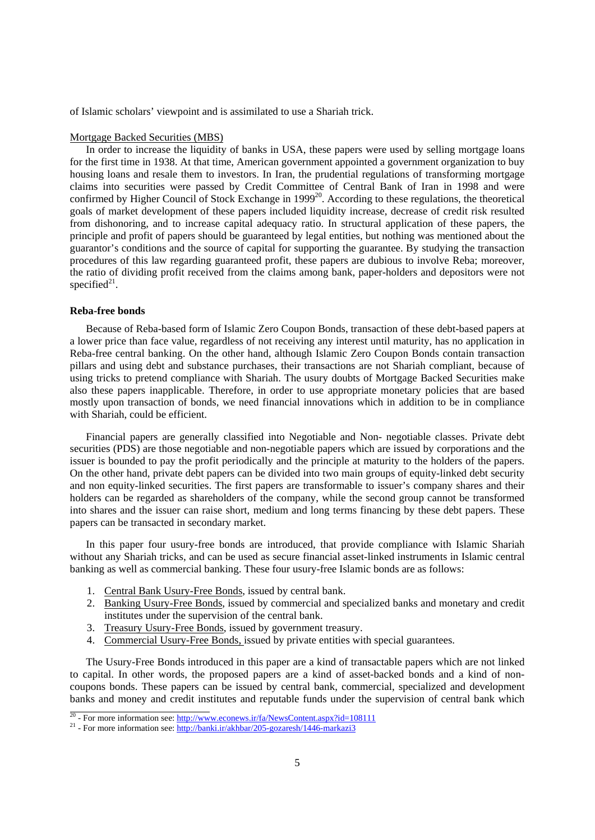of Islamic scholars' viewpoint and is assimilated to use a Shariah trick.

### Mortgage Backed Securities (MBS)

 In order to increase the liquidity of banks in USA, these papers were used by selling mortgage loans for the first time in 1938. At that time, American government appointed a government organization to buy housing loans and resale them to investors. In Iran, the prudential regulations of transforming mortgage claims into securities were passed by Credit Committee of Central Bank of Iran in 1998 and were confirmed by Higher Council of Stock Exchange in 1999<sup>20</sup>. According to these regulations, the theoretical goals of market development of these papers included liquidity increase, decrease of credit risk resulted from dishonoring, and to increase capital adequacy ratio. In structural application of these papers, the principle and profit of papers should be guaranteed by legal entities, but nothing was mentioned about the guarantor's conditions and the source of capital for supporting the guarantee. By studying the transaction procedures of this law regarding guaranteed profit, these papers are dubious to involve Reba; moreover, the ratio of dividing profit received from the claims among bank, paper-holders and depositors were not specified $2<sup>1</sup>$ .

#### **Reba-free bonds**

Because of Reba-based form of Islamic Zero Coupon Bonds, transaction of these debt-based papers at a lower price than face value, regardless of not receiving any interest until maturity, has no application in Reba-free central banking. On the other hand, although Islamic Zero Coupon Bonds contain transaction pillars and using debt and substance purchases, their transactions are not Shariah compliant, because of using tricks to pretend compliance with Shariah. The usury doubts of Mortgage Backed Securities make also these papers inapplicable. Therefore, in order to use appropriate monetary policies that are based mostly upon transaction of bonds, we need financial innovations which in addition to be in compliance with Shariah, could be efficient.

 Financial papers are generally classified into Negotiable and Non- negotiable classes. Private debt securities (PDS) are those negotiable and non-negotiable papers which are issued by corporations and the issuer is bounded to pay the profit periodically and the principle at maturity to the holders of the papers. On the other hand, private debt papers can be divided into two main groups of equity-linked debt security and non equity-linked securities. The first papers are transformable to issuer's company shares and their holders can be regarded as shareholders of the company, while the second group cannot be transformed into shares and the issuer can raise short, medium and long terms financing by these debt papers. These papers can be transacted in secondary market.

 In this paper four usury-free bonds are introduced, that provide compliance with Islamic Shariah without any Shariah tricks, and can be used as secure financial asset-linked instruments in Islamic central banking as well as commercial banking. These four usury-free Islamic bonds are as follows:

- 1. Central Bank Usury-Free Bonds, issued by central bank.
- 2. Banking Usury-Free Bonds, issued by commercial and specialized banks and monetary and credit institutes under the supervision of the central bank.
- 3. Treasury Usury-Free Bonds, issued by government treasury.
- 4. Commercial Usury-Free Bonds, issued by private entities with special guarantees.

 The Usury-Free Bonds introduced in this paper are a kind of transactable papers which are not linked to capital. In other words, the proposed papers are a kind of asset-backed bonds and a kind of noncoupons bonds. These papers can be issued by central bank, commercial, specialized and development banks and money and credit institutes and reputable funds under the supervision of central bank which

<sup>&</sup>lt;sup>20</sup> - For more information see:  $\frac{http://www.econews.ir/fa/NewsContent.aspx?id=108111}{p21}$ <br><sup>21</sup> - For more information see:  $\frac{http://bank.i.r/akhbar/205-gozaresh/1446-markazi3}{p21}$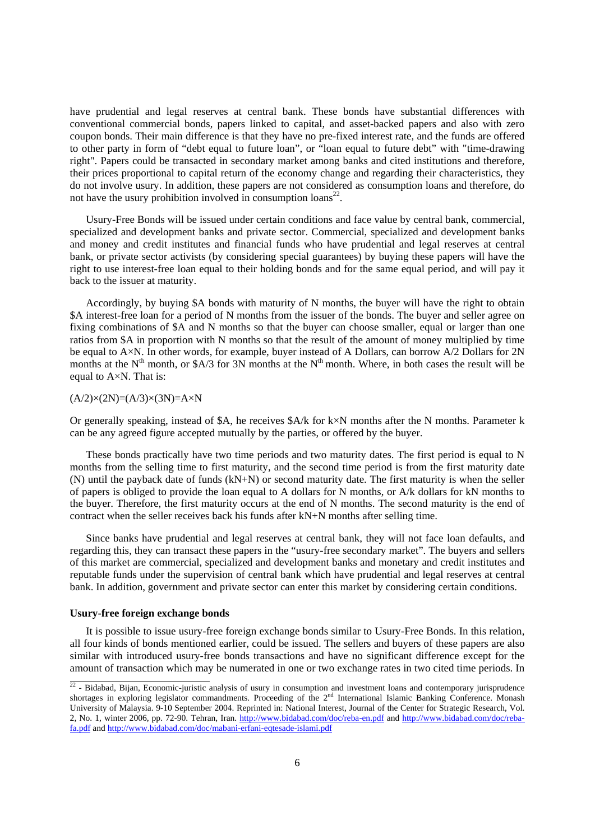have prudential and legal reserves at central bank. These bonds have substantial differences with conventional commercial bonds, papers linked to capital, and asset-backed papers and also with zero coupon bonds. Their main difference is that they have no pre-fixed interest rate, and the funds are offered to other party in form of "debt equal to future loan", or "loan equal to future debt" with "time-drawing right". Papers could be transacted in secondary market among banks and cited institutions and therefore, their prices proportional to capital return of the economy change and regarding their characteristics, they do not involve usury. In addition, these papers are not considered as consumption loans and therefore, do not have the usury prohibition involved in consumption  $\text{loans}^{22}$ .

 Usury-Free Bonds will be issued under certain conditions and face value by central bank, commercial, specialized and development banks and private sector. Commercial, specialized and development banks and money and credit institutes and financial funds who have prudential and legal reserves at central bank, or private sector activists (by considering special guarantees) by buying these papers will have the right to use interest-free loan equal to their holding bonds and for the same equal period, and will pay it back to the issuer at maturity.

 Accordingly, by buying \$A bonds with maturity of N months, the buyer will have the right to obtain \$A interest-free loan for a period of N months from the issuer of the bonds. The buyer and seller agree on fixing combinations of \$A and N months so that the buyer can choose smaller, equal or larger than one ratios from \$A in proportion with N months so that the result of the amount of money multiplied by time be equal to A×N. In other words, for example, buyer instead of A Dollars, can borrow A/2 Dollars for 2N months at the  $N<sup>th</sup>$  month, or \$A/3 for 3N months at the  $N<sup>th</sup>$  month. Where, in both cases the result will be equal to A×N. That is:

 $(A/2)\times(2N)=(A/3)\times(3N)=A\times N$ 

Or generally speaking, instead of \$A, he receives \$A/k for k×N months after the N months. Parameter k can be any agreed figure accepted mutually by the parties, or offered by the buyer.

 These bonds practically have two time periods and two maturity dates. The first period is equal to N months from the selling time to first maturity, and the second time period is from the first maturity date (N) until the payback date of funds (kN+N) or second maturity date. The first maturity is when the seller of papers is obliged to provide the loan equal to A dollars for N months, or A/k dollars for kN months to the buyer. Therefore, the first maturity occurs at the end of N months. The second maturity is the end of contract when the seller receives back his funds after kN+N months after selling time.

 Since banks have prudential and legal reserves at central bank, they will not face loan defaults, and regarding this, they can transact these papers in the "usury-free secondary market". The buyers and sellers of this market are commercial, specialized and development banks and monetary and credit institutes and reputable funds under the supervision of central bank which have prudential and legal reserves at central bank. In addition, government and private sector can enter this market by considering certain conditions.

### **Usury-free foreign exchange bonds**

It is possible to issue usury-free foreign exchange bonds similar to Usury-Free Bonds. In this relation, all four kinds of bonds mentioned earlier, could be issued. The sellers and buyers of these papers are also similar with introduced usury-free bonds transactions and have no significant difference except for the amount of transaction which may be numerated in one or two exchange rates in two cited time periods. In

 $\frac{22}{2}$  - Bidabad, Bijan, Economic-juristic analysis of usury in consumption and investment loans and contemporary jurisprudence shortages in exploring legislator commandments. Proceeding of the 2<sup>nd</sup> International Islamic Banking Conference. Monash University of Malaysia. 9-10 September 2004. Reprinted in: National Interest, Journal of the Center for Strategic Research, Vol. 2, No. 1, winter 2006, pp. 72-90. Tehran, Iran. http://www.bidabad.com/doc/reba-en.pdf and http://www.bidabad.com/doc/rebafa.pdf and http://www.bidabad.com/doc/mabani-erfani-eqtesade-islami.pdf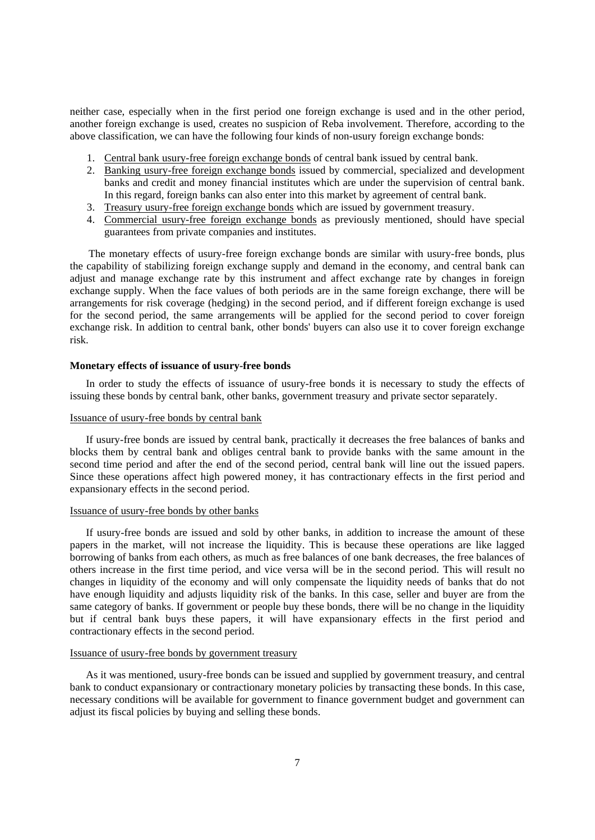neither case, especially when in the first period one foreign exchange is used and in the other period, another foreign exchange is used, creates no suspicion of Reba involvement. Therefore, according to the above classification, we can have the following four kinds of non-usury foreign exchange bonds:

- 1. Central bank usury-free foreign exchange bonds of central bank issued by central bank.
- 2. Banking usury-free foreign exchange bonds issued by commercial, specialized and development banks and credit and money financial institutes which are under the supervision of central bank. In this regard, foreign banks can also enter into this market by agreement of central bank.
- 3. Treasury usury-free foreign exchange bonds which are issued by government treasury.
- 4. Commercial usury-free foreign exchange bonds as previously mentioned, should have special guarantees from private companies and institutes.

 The monetary effects of usury-free foreign exchange bonds are similar with usury-free bonds, plus the capability of stabilizing foreign exchange supply and demand in the economy, and central bank can adjust and manage exchange rate by this instrument and affect exchange rate by changes in foreign exchange supply. When the face values of both periods are in the same foreign exchange, there will be arrangements for risk coverage (hedging) in the second period, and if different foreign exchange is used for the second period, the same arrangements will be applied for the second period to cover foreign exchange risk. In addition to central bank, other bonds' buyers can also use it to cover foreign exchange risk.

## **Monetary effects of issuance of usury-free bonds**

 In order to study the effects of issuance of usury-free bonds it is necessary to study the effects of issuing these bonds by central bank, other banks, government treasury and private sector separately.

## Issuance of usury-free bonds by central bank

 If usury-free bonds are issued by central bank, practically it decreases the free balances of banks and blocks them by central bank and obliges central bank to provide banks with the same amount in the second time period and after the end of the second period, central bank will line out the issued papers. Since these operations affect high powered money, it has contractionary effects in the first period and expansionary effects in the second period.

### Issuance of usury-free bonds by other banks

 If usury-free bonds are issued and sold by other banks, in addition to increase the amount of these papers in the market, will not increase the liquidity. This is because these operations are like lagged borrowing of banks from each others, as much as free balances of one bank decreases, the free balances of others increase in the first time period, and vice versa will be in the second period. This will result no changes in liquidity of the economy and will only compensate the liquidity needs of banks that do not have enough liquidity and adjusts liquidity risk of the banks. In this case, seller and buyer are from the same category of banks. If government or people buy these bonds, there will be no change in the liquidity but if central bank buys these papers, it will have expansionary effects in the first period and contractionary effects in the second period.

#### Issuance of usury-free bonds by government treasury

 As it was mentioned, usury-free bonds can be issued and supplied by government treasury, and central bank to conduct expansionary or contractionary monetary policies by transacting these bonds. In this case, necessary conditions will be available for government to finance government budget and government can adjust its fiscal policies by buying and selling these bonds.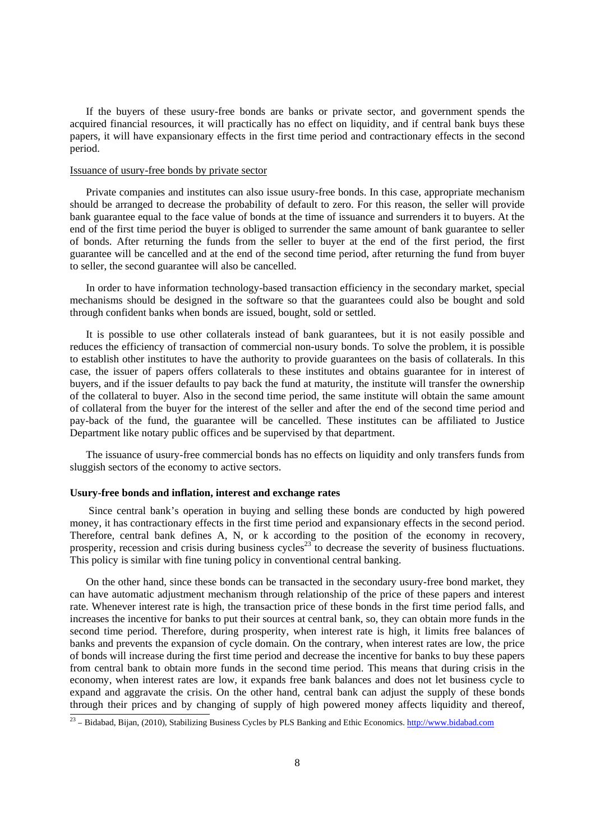If the buyers of these usury-free bonds are banks or private sector, and government spends the acquired financial resources, it will practically has no effect on liquidity, and if central bank buys these papers, it will have expansionary effects in the first time period and contractionary effects in the second period.

## Issuance of usury-free bonds by private sector

 Private companies and institutes can also issue usury-free bonds. In this case, appropriate mechanism should be arranged to decrease the probability of default to zero. For this reason, the seller will provide bank guarantee equal to the face value of bonds at the time of issuance and surrenders it to buyers. At the end of the first time period the buyer is obliged to surrender the same amount of bank guarantee to seller of bonds. After returning the funds from the seller to buyer at the end of the first period, the first guarantee will be cancelled and at the end of the second time period, after returning the fund from buyer to seller, the second guarantee will also be cancelled.

 In order to have information technology-based transaction efficiency in the secondary market, special mechanisms should be designed in the software so that the guarantees could also be bought and sold through confident banks when bonds are issued, bought, sold or settled.

 It is possible to use other collaterals instead of bank guarantees, but it is not easily possible and reduces the efficiency of transaction of commercial non-usury bonds. To solve the problem, it is possible to establish other institutes to have the authority to provide guarantees on the basis of collaterals. In this case, the issuer of papers offers collaterals to these institutes and obtains guarantee for in interest of buyers, and if the issuer defaults to pay back the fund at maturity, the institute will transfer the ownership of the collateral to buyer. Also in the second time period, the same institute will obtain the same amount of collateral from the buyer for the interest of the seller and after the end of the second time period and pay-back of the fund, the guarantee will be cancelled. These institutes can be affiliated to Justice Department like notary public offices and be supervised by that department.

 The issuance of usury-free commercial bonds has no effects on liquidity and only transfers funds from sluggish sectors of the economy to active sectors.

## **Usury-free bonds and inflation, interest and exchange rates**

the contract of the contract of the contract of the contract of the contract of the contract of the contract of

 Since central bank's operation in buying and selling these bonds are conducted by high powered money, it has contractionary effects in the first time period and expansionary effects in the second period. Therefore, central bank defines A, N, or k according to the position of the economy in recovery, prosperity, recession and crisis during business cycles<sup>23</sup> to decrease the severity of business fluctuations. This policy is similar with fine tuning policy in conventional central banking.

 On the other hand, since these bonds can be transacted in the secondary usury-free bond market, they can have automatic adjustment mechanism through relationship of the price of these papers and interest rate. Whenever interest rate is high, the transaction price of these bonds in the first time period falls, and increases the incentive for banks to put their sources at central bank, so, they can obtain more funds in the second time period. Therefore, during prosperity, when interest rate is high, it limits free balances of banks and prevents the expansion of cycle domain. On the contrary, when interest rates are low, the price of bonds will increase during the first time period and decrease the incentive for banks to buy these papers from central bank to obtain more funds in the second time period. This means that during crisis in the economy, when interest rates are low, it expands free bank balances and does not let business cycle to expand and aggravate the crisis. On the other hand, central bank can adjust the supply of these bonds through their prices and by changing of supply of high powered money affects liquidity and thereof,

<sup>&</sup>lt;sup>23</sup> - Bidabad, Bijan, (2010), Stabilizing Business Cycles by PLS Banking and Ethic Economics. http://www.bidabad.com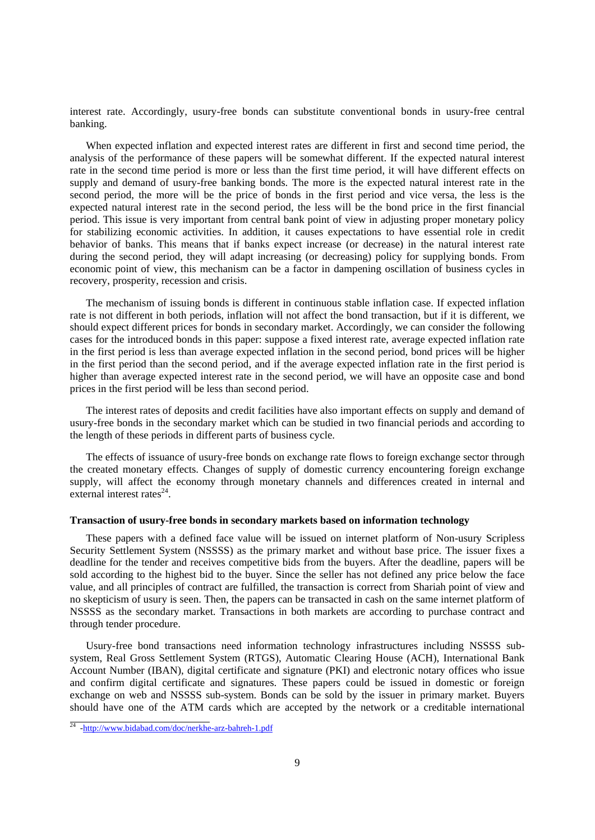interest rate. Accordingly, usury-free bonds can substitute conventional bonds in usury-free central banking.

 When expected inflation and expected interest rates are different in first and second time period, the analysis of the performance of these papers will be somewhat different. If the expected natural interest rate in the second time period is more or less than the first time period, it will have different effects on supply and demand of usury-free banking bonds. The more is the expected natural interest rate in the second period, the more will be the price of bonds in the first period and vice versa, the less is the expected natural interest rate in the second period, the less will be the bond price in the first financial period. This issue is very important from central bank point of view in adjusting proper monetary policy for stabilizing economic activities. In addition, it causes expectations to have essential role in credit behavior of banks. This means that if banks expect increase (or decrease) in the natural interest rate during the second period, they will adapt increasing (or decreasing) policy for supplying bonds. From economic point of view, this mechanism can be a factor in dampening oscillation of business cycles in recovery, prosperity, recession and crisis.

 The mechanism of issuing bonds is different in continuous stable inflation case. If expected inflation rate is not different in both periods, inflation will not affect the bond transaction, but if it is different, we should expect different prices for bonds in secondary market. Accordingly, we can consider the following cases for the introduced bonds in this paper: suppose a fixed interest rate, average expected inflation rate in the first period is less than average expected inflation in the second period, bond prices will be higher in the first period than the second period, and if the average expected inflation rate in the first period is higher than average expected interest rate in the second period, we will have an opposite case and bond prices in the first period will be less than second period.

 The interest rates of deposits and credit facilities have also important effects on supply and demand of usury-free bonds in the secondary market which can be studied in two financial periods and according to the length of these periods in different parts of business cycle.

 The effects of issuance of usury-free bonds on exchange rate flows to foreign exchange sector through the created monetary effects. Changes of supply of domestic currency encountering foreign exchange supply, will affect the economy through monetary channels and differences created in internal and external interest rates $^{24}$ .

## **Transaction of usury-free bonds in secondary markets based on information technology**

 These papers with a defined face value will be issued on internet platform of Non-usury Scripless Security Settlement System (NSSSS) as the primary market and without base price. The issuer fixes a deadline for the tender and receives competitive bids from the buyers. After the deadline, papers will be sold according to the highest bid to the buyer. Since the seller has not defined any price below the face value, and all principles of contract are fulfilled, the transaction is correct from Shariah point of view and no skepticism of usury is seen. Then, the papers can be transacted in cash on the same internet platform of NSSSS as the secondary market. Transactions in both markets are according to purchase contract and through tender procedure.

 Usury-free bond transactions need information technology infrastructures including NSSSS subsystem, Real Gross Settlement System (RTGS), Automatic Clearing House (ACH), International Bank Account Number (IBAN), digital certificate and signature (PKI) and electronic notary offices who issue and confirm digital certificate and signatures. These papers could be issued in domestic or foreign exchange on web and NSSSS sub-system. Bonds can be sold by the issuer in primary market. Buyers should have one of the ATM cards which are accepted by the network or a creditable international

<sup>&</sup>lt;sup>24</sup> -http://www.bidabad.com/doc/nerkhe-arz-bahreh-1.pdf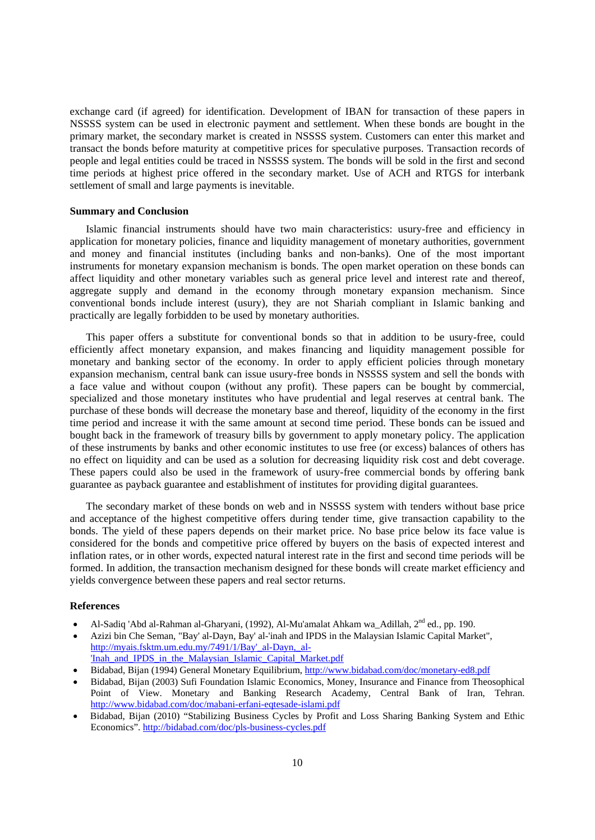exchange card (if agreed) for identification. Development of IBAN for transaction of these papers in NSSSS system can be used in electronic payment and settlement. When these bonds are bought in the primary market, the secondary market is created in NSSSS system. Customers can enter this market and transact the bonds before maturity at competitive prices for speculative purposes. Transaction records of people and legal entities could be traced in NSSSS system. The bonds will be sold in the first and second time periods at highest price offered in the secondary market. Use of ACH and RTGS for interbank settlement of small and large payments is inevitable.

## **Summary and Conclusion**

 Islamic financial instruments should have two main characteristics: usury-free and efficiency in application for monetary policies, finance and liquidity management of monetary authorities, government and money and financial institutes (including banks and non-banks). One of the most important instruments for monetary expansion mechanism is bonds. The open market operation on these bonds can affect liquidity and other monetary variables such as general price level and interest rate and thereof, aggregate supply and demand in the economy through monetary expansion mechanism. Since conventional bonds include interest (usury), they are not Shariah compliant in Islamic banking and practically are legally forbidden to be used by monetary authorities.

 This paper offers a substitute for conventional bonds so that in addition to be usury-free, could efficiently affect monetary expansion, and makes financing and liquidity management possible for monetary and banking sector of the economy. In order to apply efficient policies through monetary expansion mechanism, central bank can issue usury-free bonds in NSSSS system and sell the bonds with a face value and without coupon (without any profit). These papers can be bought by commercial, specialized and those monetary institutes who have prudential and legal reserves at central bank. The purchase of these bonds will decrease the monetary base and thereof, liquidity of the economy in the first time period and increase it with the same amount at second time period. These bonds can be issued and bought back in the framework of treasury bills by government to apply monetary policy. The application of these instruments by banks and other economic institutes to use free (or excess) balances of others has no effect on liquidity and can be used as a solution for decreasing liquidity risk cost and debt coverage. These papers could also be used in the framework of usury-free commercial bonds by offering bank guarantee as payback guarantee and establishment of institutes for providing digital guarantees.

 The secondary market of these bonds on web and in NSSSS system with tenders without base price and acceptance of the highest competitive offers during tender time, give transaction capability to the bonds. The yield of these papers depends on their market price. No base price below its face value is considered for the bonds and competitive price offered by buyers on the basis of expected interest and inflation rates, or in other words, expected natural interest rate in the first and second time periods will be formed. In addition, the transaction mechanism designed for these bonds will create market efficiency and yields convergence between these papers and real sector returns.

## **References**

- Al-Sadiq 'Abd al-Rahman al-Gharyani, (1992), Al-Mu'amalat Ahkam wa\_Adillah, 2nd ed., pp. 190.
- Azizi bin Che Seman, "Bay' al-Dayn, Bay' al-'inah and IPDS in the Malaysian Islamic Capital Market", http://myais.fsktm.um.edu.my/7491/1/Bay'\_al-Dayn,\_al- 'Inah\_and\_IPDS\_in\_the\_Malaysian\_Islamic\_Capital\_Market.pdf
- Bidabad, Bijan (1994) General Monetary Equilibrium, http://www.bidabad.com/doc/monetary-ed8.pdf
- Bidabad, Bijan (2003) Sufi Foundation Islamic Economics, Money, Insurance and Finance from Theosophical Point of View. Monetary and Banking Research Academy, Central Bank of Iran, Tehran. http://www.bidabad.com/doc/mabani-erfani-eqtesade-islami.pdf
- Bidabad, Bijan (2010) "Stabilizing Business Cycles by Profit and Loss Sharing Banking System and Ethic Economics". http://bidabad.com/doc/pls-business-cycles.pdf